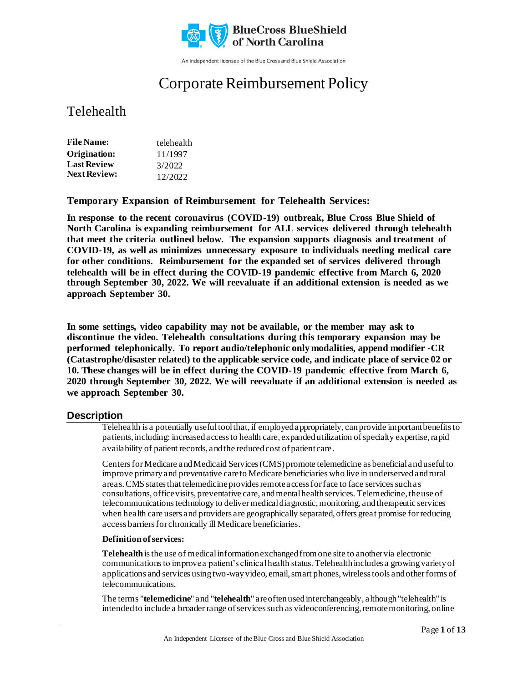

An independent licensee of the Blue Cross and Blue Shield Association

# Corporate Reimbursement Policy

### Telehealth

| <b>File Name:</b>   | telehealth |
|---------------------|------------|
| Origination:        | 11/1997    |
| <b>Last Review</b>  | 3/2022     |
| <b>Next Review:</b> | 12/2022    |

**Temporary Expansion of Reimbursement for Telehealth Services:** 

**In response to the recent coronavirus (COVID-19) outbreak, Blue Cross Blue Shield of North Carolina is expanding reimbursement for ALL services delivered through telehealth that meet the criteria outlined below. The expansion supports diagnosis and treatment of COVID-19, as well as minimizes unnecessary exposure to individuals needing medical care for other conditions. Reimbursement for the expanded set of services delivered through telehealth will be in effect during the COVID-19 pandemic effective from March 6, 2020 through September 30, 2022. We will reevaluate if an additional extension is needed as we approach September 30.**

**In some settings, video capability may not be available, or the member may ask to discontinue the video. Telehealth consultations during this temporary expansion may be performed telephonically. To report audio/telephonic only modalities, append modifier -CR (Catastrophe/disaster related) to the applicable service code, and indicate place of service 02 or 10. These changes will be in effect during the COVID-19 pandemic effective from March 6, 2020 through September 30, 2022. We will reevaluate if an additional extension is needed as we approach September 30.**

### **Description**

Telehealth is a potentially useful tool that, if employed appropriately, can provide important benefits to patients, including: increased access to health care, expanded utilization of specialty expertise, rapid availability of patient records, and the reduced cost of patient care.

Centers for Medicare and Medicaid Services(CMS) promote telemedicine as beneficial and useful to improve primary and preventative care to Medicare beneficiaries who live in underserved and rural areas. CMS states that telemedicine provides remote access for face to face services such as consultations, office visits, preventative care, and mental health services. Telemedicine, the use of telecommunications technology to deliver medical diagnostic, monitoring, and therapeutic services when health care users and providers are geographically separated, offers great promise for reducing access barriers for chronically ill Medicare beneficiaries.

#### **Definition of services:**

**Telehealth** isthe use of medical information exchanged from one site to another via electronic communicationsto improve a patient's clinical health status. Telehealthincludes a growing variety of applications and services using two-way video, email, smart phones, wireless tools and other forms of telecommunications.

The terms "**telemedicine**" and "**telehealth**" are often used interchangeably, although "telehealth" is intended to include a broader range of services such as videoconferencing, remote monitoring, online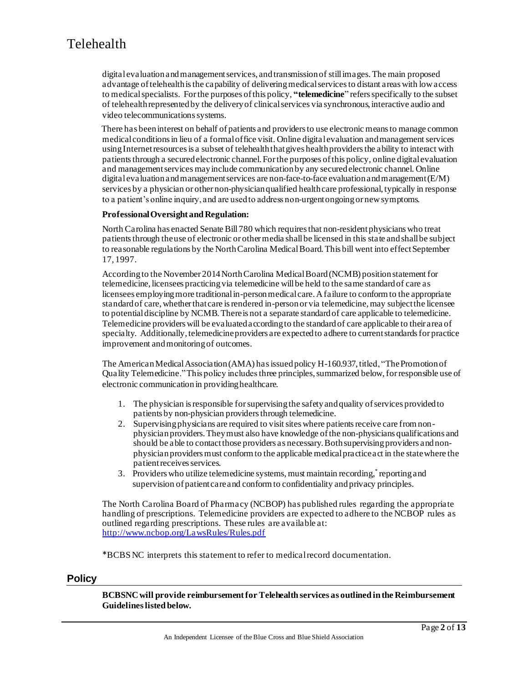digital evaluation and management services, and transmission of still images. The main proposed advantage of telehealth is the capability of delivering medical services to distant areas with low access to medical specialists. For the purposes of this policy, **"telemedicine**" refers specifically to the subset of telehealth represented by the delivery of clinical services via synchronous, interactive audio and video telecommunications systems.

 There has been interest on behalf of patients and providers to use electronic means to manage common medical conditions in lieu of a formal office visit. Online digital evaluation and management services using Internet resources is a subset of telehealth that gives health providers the ability to interact with patients through a secured electronic channel. For the purposes of this policy, online digital evaluation and management services may include communication by any secured electronic channel. Online digital evaluation and management services are non-face-to-face evaluation and management  $(E/M)$ services by a physician or other non-physician qualified health care professional, typically in response to a patient's online inquiry, and are used to address non-urgent ongoing or new symptoms.

#### **Professional Oversight and Regulation:**

North Carolina has enacted Senate Bill 780 which requires that non-resident physicians who treat patients through the use of electronic or other media shall be licensed in this state and shall be subject to reasonable regulations by the North Carolina Medical Board. This bill went into effect September 17, 1997.

According to the November 2014 North Carolina Medical Board (NCMB) position statement for telemedicine, licensees practicing via telemedicine will be held to the same standard of care as licensees employing more traditional in-person medical care. A failure to conform to the appropriate standard of care, whether that care is rendered in-person or via telemedicine, may subject the licensee to potential discipline by NCMB. There is not a separate standard of care applicable to telemedicine. Telemedicine providers will be evaluated according to the standard of care applicable to their area of specialty. Additionally, telemedicine providers are expected to adhere to current standards for practice improvement and monitoring of outcomes.

The American Medical Association (AMA) has issued policy H-160.937,titled, "The Promotion of Quality Telemedicine." This policy includes three principles, summarized below, for responsible use of electronic communication in providing healthcare.

- 1. The physician is responsible for supervising the safety and quality of services provided to patients by non-physician providers through telemedicine.
- 2. Supervising physicians are required to visit sites where patients receive care from nonphysician providers. They must also have knowledge of the non-physicians qualifications and should be able to contact those providers as necessary. Both supervising providers and nonphysician providers must conform to the applicable medical practice act in the state where the patient receives services.
- 3. Providers who utilize telemedicine systems, must maintain recording, reporting and supervision of patient care and conform to confidentiality and privacy principles.

The North Carolina Board of Pharmacy (NCBOP) has published rules regarding the appropriate handling of prescriptions. Telemedicine providers are expected to adhere to the NCBOP rules as outlined regarding prescriptions. These rules are available at: <http://www.ncbop.org/LawsRules/Rules.pdf>

\*BCBSNC interprets this statement to refer to medical record documentation.

#### **Policy**

**BCBSNC will provide reimbursement for Telehealth services as outlined in the Reimbursement Guidelines listed below.**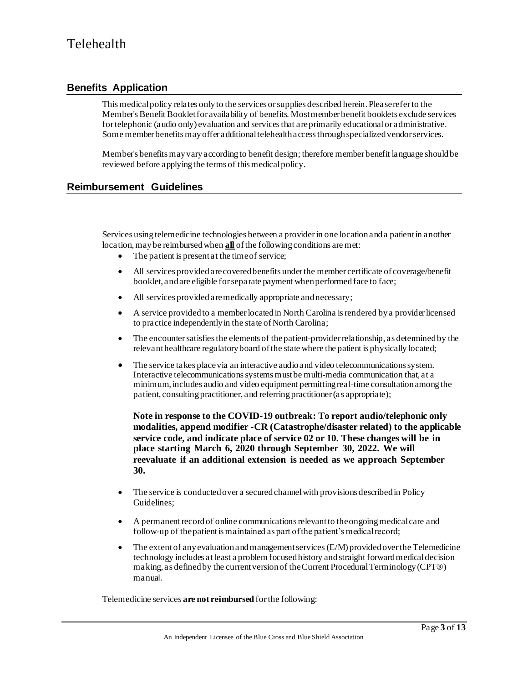### **Benefits Application**

This medical policy relates only to the services or supplies described herein. Please refer to the Member's Benefit Booklet for availability of benefits. Most member benefit booklets exclude services for telephonic (audio only) evaluation and services that areprimarily educationalor administrative. Some member benefits may offer additional telehealth access through specialized vendor services.

Member's benefits may vary according to benefit design; therefore member benefit language should be reviewed before applying the terms of this medical policy.

### **Reimbursement Guidelines**

Services using telemedicine technologies between a provider in one location and a patient in another location, may be reimbursed when **all** of the following conditions are met:

- The patient is present at the time of service;
- All services provided are covered benefits under the member certificate of coverage/benefit booklet, and are eligible for separate payment when performed face to face;
- All services provided are medically appropriate and necessary;
- A service provided to a member located in North Carolina is rendered by a provider licensed to practice independently in the state of North Carolina;
- The encounter satisfies the elements of the patient-provider relationship, as determined by the relevant healthcare regulatory board of the state where the patient is physically located;
- The service takes place via an interactive audio and video telecommunications system. Interactive telecommunications systems must be multi-media communication that, at a minimum, includes audio and video equipment permitting real-time consultation among the patient, consulting practitioner, and referring practitioner (as appropriate);

**Note in response to the COVID-19 outbreak: To report audio/telephonic only modalities, append modifier -CR (Catastrophe/disaster related) to the applicable service code, and indicate place of service 02 or 10. These changes will be in place starting March 6, 2020 through September 30, 2022. We will reevaluate if an additional extension is needed as we approach September 30.**

- The service is conducted over a secured channel with provisions described in Policy Guidelines;
- A permanent record of online communications relevant to the ongoing medical care and follow-up of the patient is maintained as part of the patient's medical record;
- The extent of any evaluation and management services  $(E/M)$  provided over the Telemedicine technology includes at least a problem focused history and straight forward medical decision making, as defined by the current version of the Current Procedural Terminology (CPT®) manual.

Telemedicine services **are not reimbursed** for the following: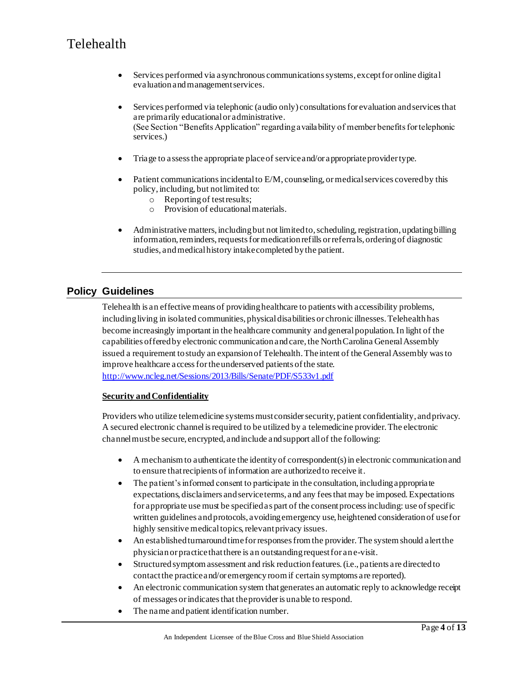- Services performed via asynchronous communications systems, except for online digital evaluation and management services.
- Services performed via telephonic (audio only) consultations for evaluation and services that are primarily educational or administrative. (See Section "Benefits Application" regarding availability of member benefits for telephonic services.)
- Triage to assess the appropriate place of service and/or appropriate provider type.
- Patient communications incidental to E/M, counseling, or medical services covered by this policy, including, but not limited to:
	- o Reporting of test results;
	- o Provision of educational materials.
- Administrative matters, including but not limited to, scheduling, registration, updating billing information, reminders, requests for medication refills or referrals, ordering of diagnostic studies, and medical history intake completed by the patient.

### **Policy Guidelines**

Telehealth is an effective means of providing healthcare to patients with accessibility problems, including living in isolated communities, physical disabilities or chronic illnesses. Telehealth has become increasingly important in the healthcare community and general population. In light of the capabilities offered by electronic communication and care, the North Carolina General Assembly issued a requirement to study an expansion of Telehealth. The intent of the General Assembly was to improve healthcare a ccess for the underserved patients of the state. <http://www.ncleg.net/Sessions/2013/Bills/Senate/PDF/S533v1.pdf>

#### **Security and Confidentiality**

Providers who utilize telemedicine systems must consider security, patient confidentiality, and privacy. A secured electronic channel is required to be utilized by a telemedicine provider. The electronic channel must be secure, encrypted, and include and support all of the following:

- A mechanism to authenticate the identity of correspondent(s) in electronic communication and to ensure that recipients of information are authorized to receive it.
- The patient's informed consent to participate in the consultation, including appropriate expectations, disclaimers and service terms, and any fees that may be imposed. Expectations for appropriate use must be specified as part of the consent process including: use of specific written guidelines and protocols, avoiding emergency use, heightened consideration of use for highly sensitive medical topics, relevant privacy issues.
- An established turnaround time for responses from the provider. The system should alert the physician or practice that there is an outstanding request for an e-visit.
- Structured symptom assessment and risk reduction features.(i.e., patients are directed to contact the practice and/or emergency room if certain symptoms are reported).
- An electronic communication system that generates an automatic reply to acknowledge receipt of messages or indicates that the provider is unable to respond.
- The name and patient identification number.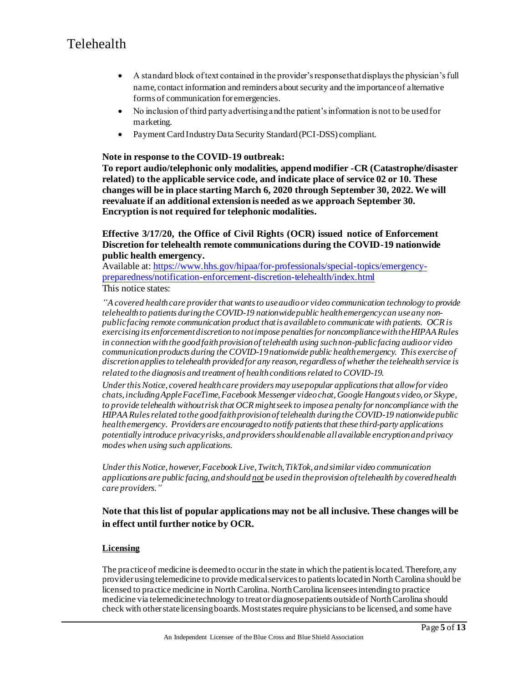- A standard block of text contained in the provider's response that displays the physician's full name, contact information and reminders about security and the importance of alternative forms of communication for emergencies.
- No inclusion of third party advertising and the patient's information is not to be used for marketing.
- Payment Card Industry Data Security Standard (PCI-DSS) compliant.

#### **Note in response to the COVID-19 outbreak:**

**To report audio/telephonic only modalities, append modifier -CR (Catastrophe/disaster related) to the applicable service code, and indicate place of service 02 or 10. These changes will be in place starting March 6, 2020 through September 30, 2022. We will reevaluate if an additional extension is needed as we approach September 30. Encryption is not required for telephonic modalities.**

#### **Effective 3/17/20, the Office of Civil Rights (OCR) issued notice of Enforcement Discretion for telehealth remote communications during the COVID-19 nationwide public health emergency.**

Available at: [https://www.hhs.gov/hipaa/for-professionals/special-topics/emergency](https://www.hhs.gov/hipaa/for-professionals/special-topics/emergency-preparedness/notification-enforcement-discretion-telehealth/index.html)[preparedness/notification-enforcement-discretion-telehealth/index.html](https://www.hhs.gov/hipaa/for-professionals/special-topics/emergency-preparedness/notification-enforcement-discretion-telehealth/index.html)

This notice states:

*"A covered health care provider that wants to use audio or video communication technology to provide telehealth to patients during the COVID-19 nationwide public health emergency can use any nonpublic facing remote communication product that is available to communicate with patients. OCR is exercising its enforcement discretion to not impose penalties for noncompliance with the HIPAA Rules in connection with the good faith provision of telehealth using such non-public facing audio or video communication products during the COVID-19 nationwide public health emergency. This exercise of discretion applies to telehealth provided for any reason, regardless of whether the telehealth service is related to the diagnosis and treatment of health conditions related to COVID-19.*

*Under this Notice, covered health care providers may use popular applications that allow for video chats, including Apple FaceTime, Facebook Messenger video chat, Google Hangouts video, or Skype, to provide telehealth without risk that OCR might seek to impose a penalty for noncompliance with the HIPAA Rules related to the good faith provision of telehealth during the COVID-19 nationwide public health emergency. Providers are encouraged to notify patients that these third-party applications potentially introduce privacy risks, and providers should enable all available encryption and privacy modes when using such applications.*

*Under this Notice, however, Facebook Live, Twitch, TikTok, and similar video communication applications are public facing, and should not be used in the provision of telehealth by covered health care providers."*

### **Note that this list of popular applications may not be all inclusive. These changes will be in effect until further notice by OCR.**

#### **Licensing**

The practice of medicine is deemed to occur in the state in which the patient is located. Therefore, any provider using telemedicine to provide medical services to patients located in North Carolina should be licensed to practice medicine in North Carolina. North Carolina licensees intending to practice medicine via telemedicine technology to treat or diagnose patients outside of North Carolina should check with other state licensing boards. Most states require physicians to be licensed, and some have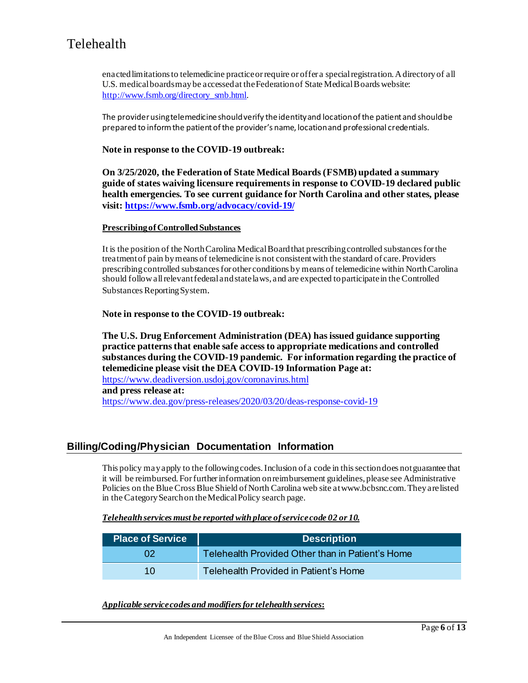enacted limitations to telemedicine practice or require or offer a special registration. A directory of all U.S. medical boards may be accessed at the Federation of State Medical Boards website: [http://www.fsmb.org/directory\\_smb.html.](http://www.fsmb.org/directory_smb.html)

The provider using telemedicine should verify the identity and location of the patient and should be prepared to inform the patient of the provider's name, location and professional credentials.

#### **Note in response to the COVID-19 outbreak:**

**On 3/25/2020, the Federation of State Medical Boards (FSMB) updated a summary guide of states waiving licensure requirements in response to COVID-19 declared public health emergencies. To see current guidance for North Carolina and other states, please visit:<https://www.fsmb.org/advocacy/covid-19/>**

#### **Prescribing of Controlled Substances**

It is the position of the North Carolina Medical Board that prescribing controlled substances for the treatment of pain by means of telemedicine is not consistent with the standard of care. Providers prescribing controlled substances for other conditions by means of telemedicine within North Carolina should followall relevant federal and state laws, and are expected to participate in the Controlled Substances Reporting System.

#### **Note in response to the COVID-19 outbreak:**

**The U.S. Drug Enforcement Administration (DEA) has issued guidance supporting practice patterns that enable safe access to appropriate medications and controlled substances during the COVID-19 pandemic. For information regarding the practice of telemedicine please visit the DEA COVID-19 Information Page at:**  <https://www.deadiversion.usdoj.gov/coronavirus.html> **and press release at:** <https://www.dea.gov/press-releases/2020/03/20/deas-response-covid-19>

#### **Billing/Coding/Physician Documentation Information**

This policy may apply to the following codes. Inclusion of a code in this section does not guarantee that it will be reimbursed. For further information on reimbursement guidelines, please see Administrative Policies on the Blue Cross Blue Shield of North Carolina web site at www.bcbsnc.com. They are listed in the Category Search on the Medical Policy search page.

#### *Telehealth services must be reported with place of service code 02 or 10.*

| <b>Place of Service</b> | <b>Description</b>                               |
|-------------------------|--------------------------------------------------|
|                         | Telehealth Provided Other than in Patient's Home |
| 10 <sup>°</sup>         | Telehealth Provided in Patient's Home            |

*Applicable service codes and modifiers for telehealth services***:**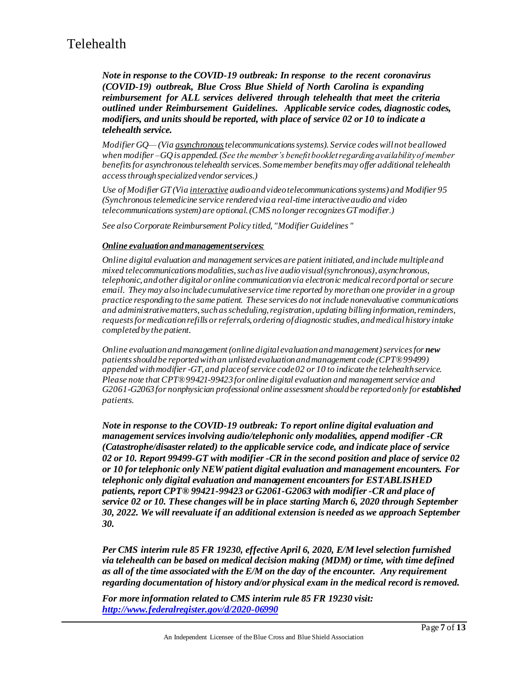*Note in response to the COVID-19 outbreak: In response to the recent coronavirus (COVID-19) outbreak, Blue Cross Blue Shield of North Carolina is expanding reimbursement for ALL services delivered through telehealth that meet the criteria outlined under Reimbursement Guidelines. Applicable service codes, diagnostic codes, modifiers, and units should be reported, with place of service 02 or 10 to indicate a telehealth service.*

*Modifier GQ— (Via asynchronoustelecommunications systems). Service codes will not be allowed when modifier –GQ is appended. (See the member's benefit booklet regarding availability of member benefits for asynchronous telehealth services. Some member benefits may offer additional telehealth access through specialized vendor services.)*

*Use of Modifier GT (Via interactive audio and video telecommunications systems) and Modifier 95 (Synchronous telemedicine service rendered via a real-time interactive audio and video telecommunications system) are optional. (CMS no longer recognizes GT modifier.)*

*See also Corporate Reimbursement Policy titled, "Modifier Guidelines "*

#### *Online evaluation and management services:*

*Online digital evaluation and management services are patient initiated, and include multiple and mixed telecommunications modalities, such as live audio visual (synchronous), asynchronous, telephonic, and other digital or online communication via electronic medical record portal or secure email. They may also include cumulative service time reported by more than one provider in a group practice responding to the same patient. These services do not include nonevaluative communications and administrative matters, such as scheduling, registration, updating billing information, reminders, requests for medication refills or referrals, ordering of diagnostic studies, and medical history intake completed by the patient.*

*Online evaluation and management (online digital evaluation and management)services for new patients should be reported with an unlisted evaluation and management code (CPT®99499) appended with modifier -GT, and place of service code 02 or 10 to indicate the telehealth service. Please note that CPT®99421-99423 for online digital evaluation and management service and G2061-G2063 for nonphysician professional online assessment should be reported only for established patients.*

*Note in response to the COVID-19 outbreak: To report online digital evaluation and management services involving audio/telephonic only modalities, append modifier -CR (Catastrophe/disaster related) to the applicable service code, and indicate place of service 02 or 10. Report 99499-GT with modifier -CR in the second position and place of service 02 or 10 for telephonic only NEW patient digital evaluation and management encounters. For telephonic only digital evaluation and management encounters for ESTABLISHED patients, report CPT® 99421-99423 or G2061-G2063 with modifier -CR and place of service 02 or 10. These changes will be in place starting March 6, 2020 through September 30, 2022. We will reevaluate if an additional extension is needed as we approach September 30.*

*Per CMS interim rule 85 FR 19230, effective April 6, 2020, E/M level selection furnished via telehealth can be based on medical decision making (MDM) or time, with time defined as all of the time associated with the E/M on the day of the encounter. Any requirement regarding documentation of history and/or physical exam in the medical record is removed.*

*For more information related to CMS interim rule 85 FR 19230 visit: <http://www.federalregister.gov/d/2020-06990>*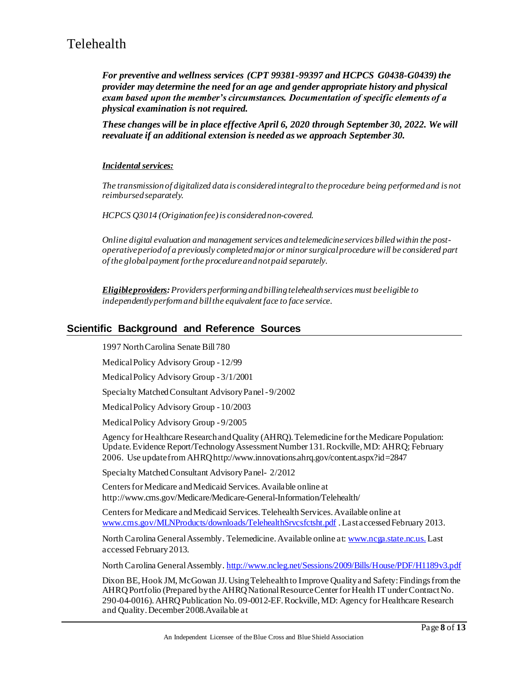*For preventive and wellness services (CPT 99381-99397 and HCPCS G0438-G0439) the provider may determine the need for an age and gender appropriate history and physical exam based upon the member's circumstances. Documentation of specific elements of a physical examination is not required.* 

*These changes will be in place effective April 6, 2020 through September 30, 2022. We will reevaluate if an additional extension is needed as we approach September 30.*

#### *Incidentalservices:*

*The transmission of digitalized data is considered integral to the procedure being performed and is not reimbursed separately.*

*HCPCS Q3014 (Origination fee)is considered non-covered.*

*Online digital evaluation and management services and telemedicine services billed within the postoperative period of a previously completed major or minor surgical procedure will be considered part of the global payment for the procedure and not paid separately.*

*Eligible providers:Providers performing and billing telehealth services must be eligible to independently perform and bill the equivalent face to face service.*

### **Scientific Background and Reference Sources**

1997 North Carolina Senate Bill 780

Medical Policy Advisory Group - 12/99

Medical Policy Advisory Group - 3/1/2001

Specialty Matched Consultant Advisory Panel - 9/2002

Medical Policy Advisory Group - 10/2003

Medical Policy Advisory Group - 9/2005

Agency for Healthcare Research and Quality (AHRQ). Telemedicine for the Medicare Population: Update. Evidence Report/Technology Assessment Number 131. Rockville, MD: AHRQ; February 2006. Use update from AHRQ http://www.innovations.ahrq.gov/content.aspx?id=2847

Specialty Matched Consultant Advisory Panel- 2/2012

Centers for Medicare and Medicaid Services. Available online at http://www.cms.gov/Medicare/Medicare-General-Information/Telehealth/

Centers for Medicare and Medicaid Services. Telehealth Services. Available online at [www.cms.gov/MLNProducts/downloads/TelehealthSrvcsfctsht.pdf](http://www.cms.gov/MLNProducts/downloads/TelehealthSrvcsfctsht.pdf) .Last accessed February 2013.

North Carolina General Assembly. Telemedicine. Available online at: [www.ncga.state.nc.us.](http://www.ncga.state.nc.us./) Last accessed February 2013.

North Carolina General Assembly. <http://www.ncleg.net/Sessions/2009/Bills/House/PDF/H1189v3.pdf>

Dixon BE, Hook JM, McGowan JJ. Using Telehealth to Improve Quality and Safety: Findings from the AHRQ Portfolio (Prepared by the AHRQ National Resource Center for Health IT under Contract No. 290-04-0016).AHRQ Publication No. 09-0012-EF. Rockville, MD: Agency for Healthcare Research and Quality. December 2008.Available at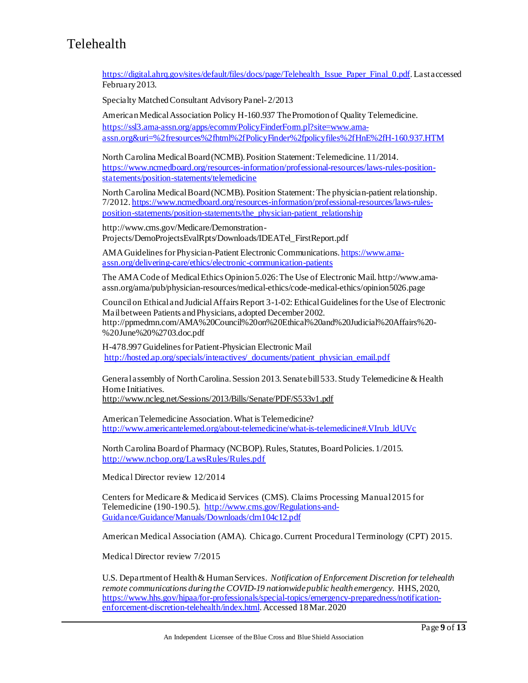[https://digital.ahrq.gov/sites/default/files/docs/page/Telehealth\\_Issue\\_Paper\\_Final\\_0.pdf.](https://digital.ahrq.gov/sites/default/files/docs/page/Telehealth_Issue_Paper_Final_0.pdf) Last accessed February 2013.

Specialty Matched Consultant Advisory Panel- 2/2013

American Medical Association Policy H-160.937 The Promotion of Quality Telemedicine. [https://ssl3.ama-assn.org/apps/ecomm/PolicyFinderForm.pl?site=www.ama](https://ssl3.ama-assn.org/apps/ecomm/PolicyFinderForm.pl?site=www.ama-assn.org&uri=%2fresources%2fhtml%2fPolicyFinder%2fpolicyfiles%2fHnE%2fH-160.937.HTM)[assn.org&uri=%2fresources%2fhtml%2fPolicyFinder%2fpolicyfiles%2fHnE%2fH-160.937.HTM](https://ssl3.ama-assn.org/apps/ecomm/PolicyFinderForm.pl?site=www.ama-assn.org&uri=%2fresources%2fhtml%2fPolicyFinder%2fpolicyfiles%2fHnE%2fH-160.937.HTM)

North Carolina Medical Board (NCMB). Position Statement: Telemedicine. 11/2014. [https://www.ncmedboard.org/resources-information/professional-resources/laws-rules-position](https://www.ncmedboard.org/resources-information/professional-resources/laws-rules-position-statements/position-statements/telemedicine)[statements/position-statements/telemedicine](https://www.ncmedboard.org/resources-information/professional-resources/laws-rules-position-statements/position-statements/telemedicine)

North Carolina Medical Board (NCMB). Position Statement: The physician-patient relationship. 7/2012. [https://www.ncmedboard.org/resources-information/professional-resources/laws-rules](https://www.ncmedboard.org/resources-information/professional-resources/laws-rules-position-statements/position-statements/the_physician-patient_relationship)[position-statements/position-statements/the\\_physician-patient\\_relationship](https://www.ncmedboard.org/resources-information/professional-resources/laws-rules-position-statements/position-statements/the_physician-patient_relationship)

http://www.cms.gov/Medicare/Demonstration-Projects/DemoProjectsEvalRpts/Downloads/IDEATel\_FirstReport.pdf

AMA Guidelines for Physician-Patient Electronic Communications[. https://www.ama](https://www.ama-assn.org/delivering-care/ethics/electronic-communication-patients)[assn.org/delivering-care/ethics/electronic-communication-patients](https://www.ama-assn.org/delivering-care/ethics/electronic-communication-patients)

The AMA Code of Medical Ethics Opinion 5.026: The Use of Electronic Mail. http://www.amaassn.org/ama/pub/physician-resources/medical-ethics/code-medical-ethics/opinion5026.page

Council on Ethical and Judicial Affairs Report 3-1-02: Ethical Guidelines for the Use of Electronic Mail between Patients and Physicians, adopted December 2002. http://ppmedmn.com/AMA%20Council%20on%20Ethical%20and%20Judicial%20Affairs%20- %20June%20%2703.doc.pdf

H-478.997 Guidelines for Patient-Physician Electronic Mail [http://hosted.ap.org/specials/interactives/\\_documents/patient\\_physician\\_email.pdf](http://hosted.ap.org/specials/interactives/_documents/patient_physician_email.pdf)

General assembly of North Carolina. Session 2013. Senate bill 533. Study Telemedicine & Health Home Initiatives. <http://www.ncleg.net/Sessions/2013/Bills/Senate/PDF/S533v1.pdf>

American Telemedicine Association. What is Telemedicine? [http://www.americantelemed.org/about-telemedicine/what-is-telemedicine#.VIrub\\_ldUVc](http://www.americantelemed.org/about-telemedicine/what-is-telemedicine#.VIrub_ldUVc)

North Carolina Board of Pharmacy (NCBOP). Rules, Statutes, Board Policies. 1/2015. <http://www.ncbop.org/LawsRules/Rules.pdf>

Medical Director review 12/2014

Centers for Medicare & Medicaid Services (CMS). Claims Processing Manual 2015 for Telemedicine (190-190.5). [http://www.cms.gov/Regulations-and-](http://www.cms.gov/Regulations-and-Guidance/Guidance/Manuals/Downloads/clm104c12.pdf)[Guidance/Guidance/Manuals/Downloads/clm104c12.pdf](http://www.cms.gov/Regulations-and-Guidance/Guidance/Manuals/Downloads/clm104c12.pdf)

American Medical Association (AMA). Chicago. Current Procedural Terminology (CPT) 2015.

Medical Director review 7/2015

U.S. Department of Health & Human Services. *Notification of Enforcement Discretion for telehealth remote communications during the COVID-19 nationwide public health emergency*. HHS, 2020, [https://www.hhs.gov/hipaa/for-professionals/special-topics/emergency-preparedness/notification](https://www.hhs.gov/hipaa/for-professionals/special-topics/emergency-preparedness/notification-enforcement-discretion-telehealth/index.html)[enforcement-discretion-telehealth/index.html.](https://www.hhs.gov/hipaa/for-professionals/special-topics/emergency-preparedness/notification-enforcement-discretion-telehealth/index.html) Accessed 18Mar. 2020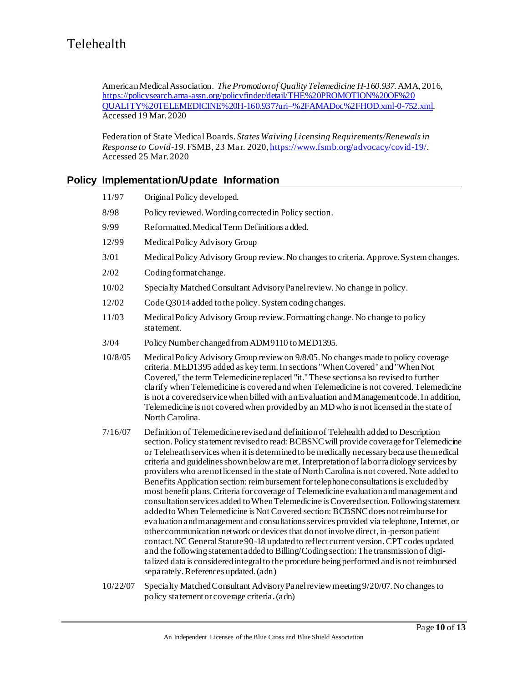American Medical Association. *The Promotion of Quality Telemedicine H-160.937.*AMA, 2016, [https://policysearch.ama-assn.org/policyfinder/detail/THE%20PROMOTION%20OF%20](https://policysearch.ama-assn.org/policyfinder/detail/THE%20PROMOTION%20OF%20%20QUALITY%20TELEMEDICINE%20H-160.937?uri=%2FAMADoc%2FHOD.xml-0-752.xml)  [QUALITY%20TELEMEDICINE%20H-160.937?uri=%2FAMADoc%2FHOD.xml-0-752.xml](https://policysearch.ama-assn.org/policyfinder/detail/THE%20PROMOTION%20OF%20%20QUALITY%20TELEMEDICINE%20H-160.937?uri=%2FAMADoc%2FHOD.xml-0-752.xml). Accessed 19 Mar. 2020

Federation of State Medical Boards. *States Waiving Licensing Requirements/Renewals in Response to Covid-19*.FSMB, 23 Mar. 2020[, https://www.fsmb.org/advocacy/covid-19/](https://www.fsmb.org/advocacy/covid-19/). Accessed 25 Mar. 2020

### **Policy Implementation/Update Information**

| 11/97    | Original Policy developed.                                                                                                                                                                                                                                                                                                                                                                                                                                                                                                                                                                                                                                                                                                                                                                                                                                                                                                                                                                                                                                                                                                                                                                                                                                                                                                                                       |
|----------|------------------------------------------------------------------------------------------------------------------------------------------------------------------------------------------------------------------------------------------------------------------------------------------------------------------------------------------------------------------------------------------------------------------------------------------------------------------------------------------------------------------------------------------------------------------------------------------------------------------------------------------------------------------------------------------------------------------------------------------------------------------------------------------------------------------------------------------------------------------------------------------------------------------------------------------------------------------------------------------------------------------------------------------------------------------------------------------------------------------------------------------------------------------------------------------------------------------------------------------------------------------------------------------------------------------------------------------------------------------|
| 8/98     | Policy reviewed. Wording corrected in Policy section.                                                                                                                                                                                                                                                                                                                                                                                                                                                                                                                                                                                                                                                                                                                                                                                                                                                                                                                                                                                                                                                                                                                                                                                                                                                                                                            |
| 9/99     | Reformatted. Medical Term Definitions added.                                                                                                                                                                                                                                                                                                                                                                                                                                                                                                                                                                                                                                                                                                                                                                                                                                                                                                                                                                                                                                                                                                                                                                                                                                                                                                                     |
| 12/99    | Medical Policy Advisory Group                                                                                                                                                                                                                                                                                                                                                                                                                                                                                                                                                                                                                                                                                                                                                                                                                                                                                                                                                                                                                                                                                                                                                                                                                                                                                                                                    |
| 3/01     | Medical Policy Advisory Group review. No changes to criteria. Approve. System changes.                                                                                                                                                                                                                                                                                                                                                                                                                                                                                                                                                                                                                                                                                                                                                                                                                                                                                                                                                                                                                                                                                                                                                                                                                                                                           |
| 2/02     | Coding format change.                                                                                                                                                                                                                                                                                                                                                                                                                                                                                                                                                                                                                                                                                                                                                                                                                                                                                                                                                                                                                                                                                                                                                                                                                                                                                                                                            |
| 10/02    | Specialty Matched Consultant Advisory Panel review. No change in policy.                                                                                                                                                                                                                                                                                                                                                                                                                                                                                                                                                                                                                                                                                                                                                                                                                                                                                                                                                                                                                                                                                                                                                                                                                                                                                         |
| 12/02    | Code Q3014 added to the policy. System coding changes.                                                                                                                                                                                                                                                                                                                                                                                                                                                                                                                                                                                                                                                                                                                                                                                                                                                                                                                                                                                                                                                                                                                                                                                                                                                                                                           |
| 11/03    | Medical Policy Advisory Group review. Formatting change. No change to policy<br>statement.                                                                                                                                                                                                                                                                                                                                                                                                                                                                                                                                                                                                                                                                                                                                                                                                                                                                                                                                                                                                                                                                                                                                                                                                                                                                       |
| 3/04     | Policy Number changed from ADM9110 to MED1395.                                                                                                                                                                                                                                                                                                                                                                                                                                                                                                                                                                                                                                                                                                                                                                                                                                                                                                                                                                                                                                                                                                                                                                                                                                                                                                                   |
| 10/8/05  | Medical Policy Advisory Group review on 9/8/05. No changes made to policy coverage<br>criteria. MED1395 added as key term. In sections "When Covered" and "When Not<br>Covered," the term Telemedicine replaced "it." These sections also revised to further<br>clarify when Telemedicine is covered and when Telemedicine is not covered. Telemedicine<br>is not a covered service when billed with an Evaluation and Management code. In addition,<br>Telemedicine is not covered when provided by an MD who is not licensed in the state of<br>North Carolina.                                                                                                                                                                                                                                                                                                                                                                                                                                                                                                                                                                                                                                                                                                                                                                                                |
| 7/16/07  | Definition of Telemedicine revised and definition of Telehealth added to Description<br>section. Policy statement revised to read: BCBSNC will provide coverage for Telemedicine<br>or Teleheath services when it is determined to be medically necessary because the medical<br>criteria and guidelines shown below are met. Interpretation of labor radiology services by<br>providers who are not licensed in the state of North Carolina is not covered. Note added to<br>Benefits Application section: reimbursement for telephone consultations is excluded by<br>most benefit plans. Criteria for coverage of Telemedicine evaluation and management and<br>consultation services added to When Telemedicine is Covered section. Following statement<br>added to When Telemedicine is Not Covered section: BCBSNC does not reimburse for<br>evaluation and management and consultations services provided via telephone, Internet, or<br>other communication network or devices that do not involve direct, in-person patient<br>contact. NC General Statute 90-18 updated to reflect current version. CPT codes updated<br>and the following statement added to Billing/Coding section: The transmission of digi-<br>talized data is considered integral to the procedure being performed and is not reimbursed<br>separately. References updated. (adn) |
| 10/22/07 | Specialty Matched Consultant Advisory Panel review meeting 9/20/07. No changes to                                                                                                                                                                                                                                                                                                                                                                                                                                                                                                                                                                                                                                                                                                                                                                                                                                                                                                                                                                                                                                                                                                                                                                                                                                                                                |

policy statement or coverage criteria. (adn)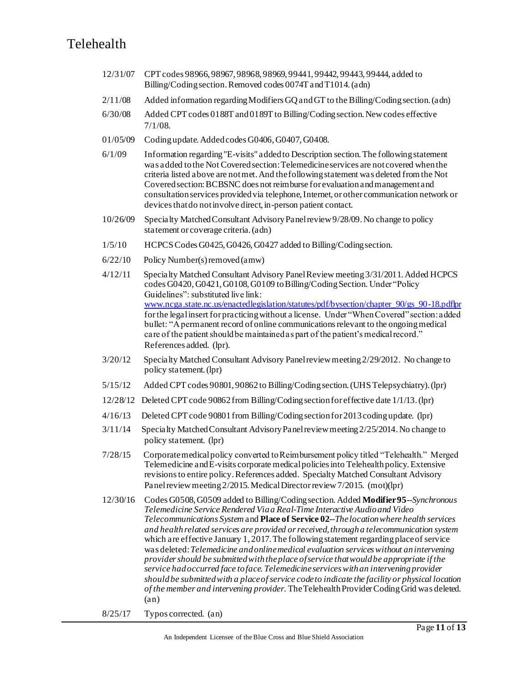- 12/31/07 CPT codes 98966, 98967, 98968, 98969, 99441, 99442, 99443, 99444, added to Billing/Coding section. Removed codes 0074T and T1014. (adn)
- 2/11/08 Added information regarding Modifiers GQ and GT to the Billing/Coding section. (adn)
- 6/30/08 Added CPT codes 0188T and 0189T to Billing/Coding section. New codes effective 7/1/08.
- 01/05/09 Coding update. Added codes G0406, G0407, G0408.
- 6/1/09 Information regarding "E-visits" added to Description section. The following statement was added to the Not Covered section: Telemedicine services are not covered when the criteria listed above are not met. And the following statement was deleted from the Not Covered section: BCBSNC does not reimburse for evaluation and management and consultation services provided via telephone, Internet, or other communication network or devices that do not involve direct, in-person patient contact.
- 10/26/09 Specialty Matched Consultant Advisory Panel review 9/28/09. No change to policy statement or coverage criteria. (adn)
- 1/5/10 HCPCS Codes G0425, G0426, G0427 added to Billing/Coding section.
- 6/22/10 Policy Number(s) removed (amw)
- 4/12/11 Specialty Matched Consultant Advisory Panel Review meeting 3/31/2011. Added HCPCS codes G0420, G0421, G0108, G0109 to Billing/Coding Section. Under "Policy Guidelines": substituted live link: [www.ncga.state.nc.us/enactedlegislation/statutes/pdf/bysection/chapter\\_90/gs\\_90-18.pdflpr](http://www.ncga.state.nc.us/enactedlegislation/statutes/pdf/bysection/chapter_90/gs_90-18.pdflpr) for the legal insert for practicing without a license. Under "When Covered" section: added bullet: "A permanent record of online communications relevant to the ongoing medical care of the patient should be maintained as part of the patient's medical record." References added. (lpr).
- 3/20/12 Specialty Matched Consultant Advisory Panel review meeting 2/29/2012. No change to policy statement. (lpr)
- 5/15/12 Added CPT codes 90801, 90862 to Billing/Coding section. (UHS Telepsychiatry). (lpr)
- 12/28/12 Deleted CPT code 90862 from Billing/Coding section for effective date 1/1/13. (lpr)
- 4/16/13 Deleted CPT code 90801 from Billing/Coding section for 2013 coding update. (lpr)
- 3/11/14 Specialty Matched Consultant Advisory Panel review meeting 2/25/2014. No change to policy statement. (lpr)
- 7/28/15 Corporate medical policy converted to Reimbursement policy titled "Telehealth." Merged Telemedicine and E-visits corporate medical policies into Telehealth policy. Extensive revisions to entire policy. References added. Specialty Matched Consultant Advisory Panel review meeting 2/2015. Medical Director review 7/2015. (mot)(lpr)
- 12/30/16 Codes G0508, G0509 added to Billing/Coding section. Added **Modifier 95**--*Synchronous Telemedicine Service Rendered Via a Real-Time Interactive Audio and Video Telecommunications System* and **Place of Service 02**--*The location where health services and health related services are provided or received, through a telecommunication system*  which are effective January 1, 2017. The following statement regarding place of service was deleted: *Telemedicine and online medical evaluation services without an intervening provider should be submitted with the place of service that would be appropriate if the service had occurred face to face. Telemedicine services with an intervening provider should be submitted with a place of service code to indicate the facility or physical location of the member and intervening provider.* The Telehealth Provider Coding Grid was deleted. (an)
- 8/25/17 Typos corrected. (an)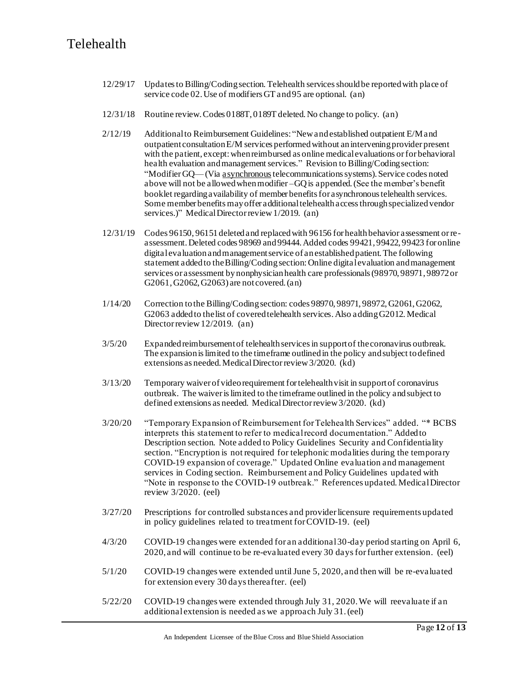- 12/29/17 Updates to Billing/Coding section. Telehealth services should be reported with place of service code 02. Use of modifiers GT and 95 are optional. (an)
- 12/31/18 Routine review. Codes 0188T, 0189T deleted. No change to policy. (an)
- 2/12/19 Additional to Reimbursement Guidelines: "New and established outpatient E/M and outpatient consultation E/M services performed without an intervening provider present with the patient, except: when reimbursed as online medical evaluations or for behavioral health evaluation and management services." Revision to Billing/Coding section: "Modifier GQ—(Via asynchronoustelecommunications systems). Service codes noted above will not be allowed when modifier –GQ is appended. (See the member's benefit booklet regarding availability of member benefits for asynchronous telehealth services. Some member benefits may offer additional telehealth access through specialized vendor services.)" Medical Director review 1/2019. (an)
- 12/31/19 Codes 96150, 96151 deleted and replaced with 96156 for health behavior assessment or reassessment. Deleted codes 98969 and 99444. Added codes 99421, 99422, 99423 for online digital evaluation and management service of an established patient. The following statement added to the Billing/Coding section: Online digital evaluation and management services or assessment by nonphysician health care professionals (98970, 98971, 98972 or G2061, G2062, G2063) are not covered. (an)
- 1/14/20 Correction to the Billing/Coding section: codes 98970, 98971, 98972, G2061, G2062, G2063 added to the list of covered telehealth services. Also adding G2012. Medical Director review 12/2019. (an)
- 3/5/20 Expanded reimbursement of telehealth services in support of the coronavirus outbreak. The expansion is limited to the timeframe outlined in the policy and subject to defined extensions as needed. Medical Director review 3/2020. (kd)
- 3/13/20 Temporary waiver of video requirement for telehealth visit in support of coronavirus outbreak. The waiver is limited to the timeframe outlined in the policy and subject to defined extensions as needed. Medical Director review 3/2020. (kd)
- 3/20/20 "Temporary Expansion of Reimbursement for Telehealth Services" added. "\* BCBS interprets this statement to refer to medical record documentation." Added to Description section. Note added to Policy Guidelines Security and Confidentiality section. "Encryption is not required for telephonic modalities during the temporary COVID-19 expansion of coverage." Updated Online evaluation and management services in Coding section. Reimbursement and Policy Guidelines updated with "Note in response to the COVID-19 outbreak."References updated. Medical Director review 3/2020. (eel)
- 3/27/20 Prescriptions for controlled substances and providerlicensure requirements updated in policy guidelines related to treatment for COVID-19. (eel)
- 4/3/20 COVID-19 changes were extended for an additional 30-day period starting on April 6, 2020, and will continue to be re-evaluated every 30 days for further extension. (eel)
- 5/1/20 COVID-19 changes were extended until June 5, 2020, and then will be re-evaluated for extension every 30 days thereafter. (eel)
- 5/22/20 COVID-19 changes were extended through July 31, 2020. We will reevaluate if an additional extension is needed as we approach July 31.(eel)